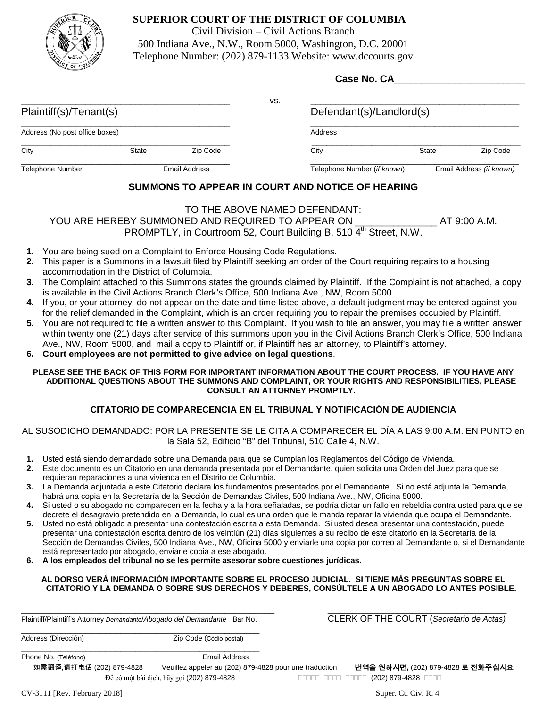

# **SUPERIOR COURT OF THE DISTRICT OF COLUMBIA**

Civil Division – Civil Actions Branch 500 Indiana Ave., N.W., Room 5000, Washington, D.C. 20001 Telephone Number: (202) 879-1133 Website: www.dccourts.gov

|                                |              |               | Case No. CA |                             |                          |          |
|--------------------------------|--------------|---------------|-------------|-----------------------------|--------------------------|----------|
|                                |              |               | VS.         |                             |                          |          |
| Plaintiff(s)/Tenant(s)         |              |               |             | Defendant(s)/Landlord(s)    |                          |          |
| Address (No post office boxes) |              |               |             | <b>Address</b>              |                          |          |
| City                           | <b>State</b> | Zip Code      |             | City                        | <b>State</b>             | Zip Code |
| Telephone Number               |              | Email Address |             | Telephone Number (if known) | Email Address (if known) |          |

# **SUMMONS TO APPEAR IN COURT AND NOTICE OF HEARING**

# TO THE ABOVE NAMED DEFENDANT: YOU ARE HEREBY SUMMONED AND REQUIRED TO APPEAR ON THE RESIDENCE AT 9:00 A.M. PROMPTLY, in Courtroom 52, Court Building B, 510 4<sup>th</sup> Street, N.W.

- **1.** You are being sued on a Complaint to Enforce Housing Code Regulations.
- **2.** This paper is a Summons in a lawsuit filed by Plaintiff seeking an order of the Court requiring repairs to a housing accommodation in the District of Columbia.
- **3.** The Complaint attached to this Summons states the grounds claimed by Plaintiff. If the Complaint is not attached, a copy is available in the Civil Actions Branch Clerk's Office, 500 Indiana Ave., NW, Room 5000.
- **4.** If you, or your attorney, do not appear on the date and time listed above, a default judgment may be entered against you for the relief demanded in the Complaint, which is an order requiring you to repair the premises occupied by Plaintiff.
- **5.** You are not required to file a written answer to this Complaint. If you wish to file an answer, you may file a written answer within twenty one (21) days after service of this summons upon you in the Civil Actions Branch Clerk's Office, 500 Indiana Ave., NW, Room 5000, and mail a copy to Plaintiff or, if Plaintiff has an attorney, to Plaintiff's attorney.
- **6. Court employees are not permitted to give advice on legal questions**.

#### **PLEASE SEE THE BACK OF THIS FORM FOR IMPORTANT INFORMATION ABOUT THE COURT PROCESS. IF YOU HAVE ANY ADDITIONAL QUESTIONS ABOUT THE SUMMONS AND COMPLAINT, OR YOUR RIGHTS AND RESPONSIBILITIES, PLEASE CONSULT AN ATTORNEY PROMPTLY.**

# **CITATORIO DE COMPARECENCIA EN EL TRIBUNAL Y NOTIFICACIÓN DE AUDIENCIA**

## AL SUSODICHO DEMANDADO: POR LA PRESENTE SE LE CITA A COMPARECER EL DÍA A LAS 9:00 A.M. EN PUNTO en la Sala 52, Edificio "B" del Tribunal, 510 Calle 4, N.W.

- **1.** Usted está siendo demandado sobre una Demanda para que se Cumplan los Reglamentos del Código de Vivienda.
- **2.** Este documento es un Citatorio en una demanda presentada por el Demandante, quien solicita una Orden del Juez para que se requieran reparaciones a una vivienda en el Distrito de Columbia.
- **3.** La Demanda adjuntada a este Citatorio declara los fundamentos presentados por el Demandante. Si no está adjunta la Demanda, habrá una copia en la Secretaría de la Sección de Demandas Civiles, 500 Indiana Ave., NW, Oficina 5000.
- **4.** Si usted o su abogado no comparecen en la fecha y a la hora señaladas, se podría dictar un fallo en rebeldía contra usted para que se decrete el desagravio pretendido en la Demanda, lo cual es una orden que le manda reparar la vivienda que ocupa el Demandante.
- **5.** Usted no está obligado a presentar una contestación escrita a esta Demanda. Si usted desea presentar una contestación, puede presentar una contestación escrita dentro de los veintiún (21) días siguientes a su recibo de este citatorio en la Secretaría de la Sección de Demandas Civiles, 500 Indiana Ave., NW, Oficina 5000 y enviarle una copia por correo al Demandante o, si el Demandante está representado por abogado, enviarle copia a ese abogado.
- **6. A los empleados del tribunal no se les permite asesorar sobre cuestiones jurídicas.**

#### **AL DORSO VERÁ INFORMACIÓN IMPORTANTE SOBRE EL PROCESO JUDICIAL. SI TIENE MÁS PREGUNTAS SOBRE EL CITATORIO Y LA DEMANDA O SOBRE SUS DERECHOS Y DEBERES, CONSÚLTELE A UN ABOGADO LO ANTES POSIBLE.**

Plaintiff/Plaintiff's Attorney *Demandante*/*Abogado del Demandante* Bar No. CLERK OF THE COURT (*Secretario de Actas)*

\_\_\_\_\_\_\_\_\_\_\_\_\_\_\_\_\_\_\_\_\_\_\_\_\_\_\_\_\_\_\_\_\_\_\_\_\_\_\_\_\_\_\_\_\_\_\_\_\_\_\_ \_\_\_\_\_\_\_\_\_\_\_\_\_\_\_\_\_\_\_\_\_\_\_\_\_\_\_\_\_\_\_\_\_\_\_\_

Address (Dirección)  $Zip Code (Códio postal)$ 

Phone No. (Teléfono) and the settlement of the Senate Senate Senate Address

如需翻译,请打电话 (202) 879-4828 Veuillez appeler au (202) 879-4828 pour une traduction 번역을 원하시면**,** (202) 879-4828 로 전화주십시요

 $\vec{p}$ ể có một bài dịch, hãy gọi (202) 879-4828 **(202) 879-4828** (202) 879-4828 **Philosopher** 

CV-3111 [Rev. February 2018] Super. Ct. Civ. R. 4